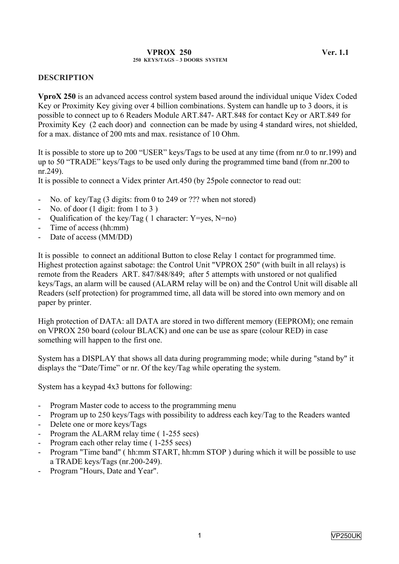#### **VPROX 250 Ver. 1.1 250 KEYS/TAGS – 3 DOORS SYSTEM**

### **DESCRIPTION**

**VproX 250** is an advanced access control system based around the individual unique Videx Coded Key or Proximity Key giving over 4 billion combinations. System can handle up to 3 doors, it is possible to connect up to 6 Readers Module ART.847- ART.848 for contact Key or ART.849 for Proximity Key (2 each door) and connection can be made by using 4 standard wires, not shielded, for a max. distance of 200 mts and max. resistance of 10 Ohm.

It is possible to store up to 200 "USER" keys/Tags to be used at any time (from nr.0 to nr.199) and up to 50 "TRADE" keys/Tags to be used only during the programmed time band (from nr.200 to nr.249).

It is possible to connect a Videx printer Art.450 (by 25pole connector to read out:

- No. of key/Tag (3 digits: from 0 to 249 or ??? when not stored)
- No. of door  $(1 \text{ digit: from } 1 \text{ to } 3)$
- Qualification of the key/Tag ( 1 character: Y=yes, N=no)
- Time of access (hh:mm)
- Date of access (MM/DD)

It is possible to connect an additional Button to close Relay 1 contact for programmed time. Highest protection against sabotage: the Control Unit "VPROX 250" (with built in all relays) is remote from the Readers ART. 847/848/849; after 5 attempts with unstored or not qualified keys/Tags, an alarm will be caused (ALARM relay will be on) and the Control Unit will disable all Readers (self protection) for programmed time, all data will be stored into own memory and on paper by printer.

High protection of DATA: all DATA are stored in two different memory (EEPROM); one remain on VPROX 250 board (colour BLACK) and one can be use as spare (colour RED) in case something will happen to the first one.

System has a DISPLAY that shows all data during programming mode; while during "stand by" it displays the "Date/Time" or nr. Of the key/Tag while operating the system.

System has a keypad 4x3 buttons for following:

- Program Master code to access to the programming menu
- Program up to 250 keys/Tags with possibility to address each key/Tag to the Readers wanted
- Delete one or more keys/Tags
- Program the ALARM relay time ( 1-255 secs)
- Program each other relay time (1-255 secs)
- Program "Time band" ( hh:mm START, hh:mm STOP ) during which it will be possible to use a TRADE keys/Tags (nr.200-249).
- Program "Hours, Date and Year".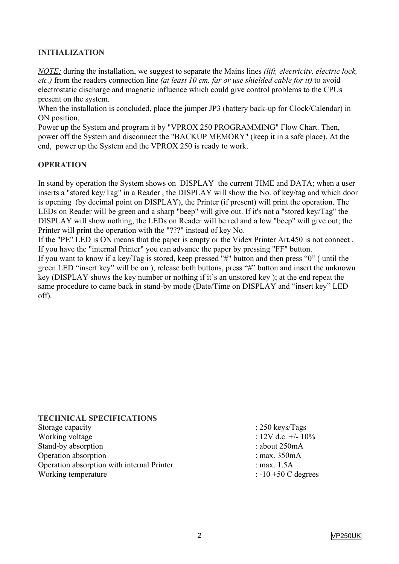# **INITIALIZATION**

*NOTE:* during the installation, we suggest to separate the Mains lines *(lift, electricity, electric lock, etc.)* from the readers connection line *(at least 10 cm. far or use shielded cable for it)* to avoid electrostatic discharge and magnetic influence which could give control problems to the CPUs present on the system.

When the installation is concluded, place the jumper JP3 (battery back-up for Clock/Calendar) in ON position.

Power up the System and program it by "VPROX 250 PROGRAMMING" Flow Chart. Then, power off the System and disconnect the "BACKUP MEMORY" (keep it in a safe place). At the end, power up the System and the VPROX 250 is ready to work.

# **OPERATION**

In stand by operation the System shows on DISPLAY the current TIME and DATA; when a user inserts a "stored key/Tag" in a Reader , the DISPLAY will show the No. of key/tag and which door is opening (by decimal point on DISPLAY), the Printer (if present) will print the operation. The LEDs on Reader will be green and a sharp "beep" will give out. If it's not a "stored key/Tag" the DISPLAY will show nothing, the LEDs on Reader will be red and a low "beep" will give out; the Printer will print the operation with the "???" instead of key No.

If the "PE" LED is ON means that the paper is empty or the Videx Printer Art.450 is not connect . If you have the "internal Printer" you can advance the paper by pressing "FF" button.

If you want to know if a key/Tag is stored, keep pressed "#" button and then press "0" ( until the green LED "insert key" will be on ), release both buttons, press "#" button and insert the unknown key (DISPLAY shows the key number or nothing if it's an unstored key ); at the end repeat the same procedure to came back in stand-by mode (Date/Time on DISPLAY and "insert key" LED off).

#### **TECHNICAL SPECIFICATIONS**

| Storage capacity                           | : $250 \text{ keys/Tags}$  |
|--------------------------------------------|----------------------------|
| Working voltage                            | : $12V$ d.c. $+/$ - $10\%$ |
| Stand-by absorption                        | : about $250mA$            |
| Operation absorption                       | : max. $350mA$             |
| Operation absorption with internal Printer | : max. $1.5A$              |
| Working temperature                        | $: -10 + 50$ C degrees     |
|                                            |                            |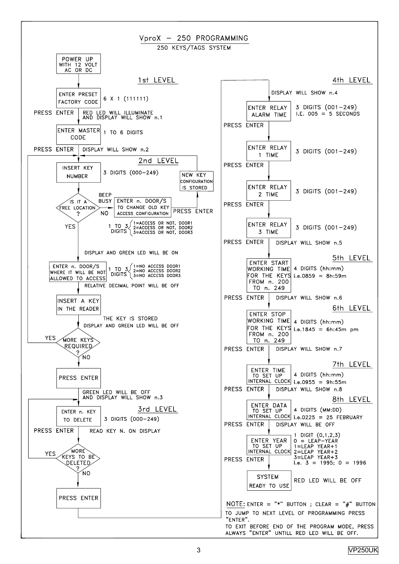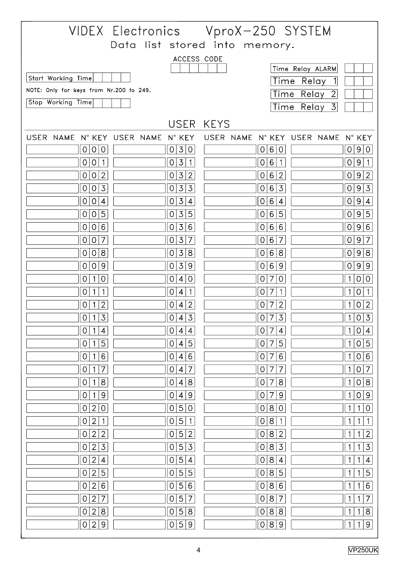|                                                           |                                                    | VIDEX Electronics VproX-250 SYSTEM                 |                                                       |  |  |  |
|-----------------------------------------------------------|----------------------------------------------------|----------------------------------------------------|-------------------------------------------------------|--|--|--|
|                                                           |                                                    | Data list stored into memory.                      |                                                       |  |  |  |
|                                                           | ACCESS CODE                                        |                                                    |                                                       |  |  |  |
|                                                           |                                                    |                                                    | Time Relay ALARM                                      |  |  |  |
| Start Working Time                                        |                                                    |                                                    | Time Relay<br>$\mathbf{1}$                            |  |  |  |
| NOTE: Only for keys from Nr.200 to 249.<br>Time Relay 2   |                                                    |                                                    |                                                       |  |  |  |
| Stop Working Time                                         |                                                    |                                                    | Time Relay 3                                          |  |  |  |
|                                                           | USER KEYS                                          |                                                    |                                                       |  |  |  |
| USER NAME N° KEY USER NAME N° KEY                         |                                                    | USER NAME N° KEY USER NAME N° KEY                  |                                                       |  |  |  |
| 0<br> 0 0                                                 | 3 0 <br>$\vert$ O                                  | 0 6 0                                              | 0 9 <br>$\overline{0}$                                |  |  |  |
| $\overline{O}$<br>$\overline{O}$<br>$\overline{1}$        | $\overline{3}$<br>$\overline{O}$<br>$\overline{1}$ | 6<br>$\cdot$ 1<br>0                                | 0 9<br>$\overline{1}$                                 |  |  |  |
| $ 2\rangle$<br>$\overline{O}$<br>0                        | 3 2<br>$\overline{O}$                              | $6\,$<br>2<br>0                                    | 9 <br>$\overline{2}$<br> 0                            |  |  |  |
| $0\vert 3$<br>$\overline{O}$                              | $\overline{3}$<br>$\vert$ 3<br>0                   | 6<br>$\overline{3}$<br>$\overline{0}$              | 0 9 3                                                 |  |  |  |
| $\mathbf 0$<br>$\overline{4}$<br>0                        | $\overline{3}$<br>$\overline{4}$<br>$\overline{O}$ | 6<br>$\overline{4}$<br>$\overline{0}$              | 0 9 <br>$\overline{4}$                                |  |  |  |
| 0 5<br>0                                                  | 3 5<br>$\overline{O}$                              | 6<br>$\overline{5}$<br>$\overline{0}$              | 0 9 5                                                 |  |  |  |
| 0 6<br>$\overline{O}$                                     | 3 6<br>$\overline{O}$                              | 6<br>6<br>$\overline{O}$                           | 0 9 6                                                 |  |  |  |
| $\overline{7}$<br>$\mathbf 0$<br>0                        | $\overline{3}$<br>7<br>$\overline{O}$              | 6<br>$\overline{7}$<br>0                           | 9<br>$\overline{7}$<br>$\overline{O}$                 |  |  |  |
| 0 8<br>$\overline{0}$                                     | 3 8<br>$\overline{0}$                              | $\overline{8}$<br>6<br>$\mathbf 0$                 | 0 9 8                                                 |  |  |  |
| $\mathsf 9$<br>$\mathbf 0$<br>0                           | $\overline{3}$<br>9<br>0                           | 6<br>9<br>0                                        | 0 9<br>$\overline{9}$                                 |  |  |  |
| $\mathsf{O}\xspace$<br>$\overline{1}$<br>0                | $\overline{O}$<br>4 0                              | $\mathsf O$<br>$\overline{O}$<br>$\overline{7}$    | 0 <br>1<br>$\circ$                                    |  |  |  |
| 0<br>1                                                    | 0<br>$\overline{1}$<br>$\overline{4}$              | 0<br>7<br>1                                        | $\mathbf{O}$<br>1                                     |  |  |  |
| $\overline{2}$<br>0<br>1                                  | $\overline{2}$<br>0<br>$\overline{4}$              | $\overline{2}$<br>$\overline{7}$<br>$\overline{O}$ | $\overline{2}$<br>$\overline{O}$<br>1                 |  |  |  |
| $\vert 3 \vert$<br>$\overline{0}$<br>$\vert$ 1            | 4 3<br>$\overline{0}$                              | $0\vert 7$<br>$\overline{3}$                       | $\overline{3}$<br> 1 0                                |  |  |  |
| $\mathbf 0$<br>$\mathbf{1}$<br>$\overline{4}$             | 0<br>$\overline{4}$<br>$\overline{4}$              | $\overline{0}$<br>$\overline{7}$<br>$\overline{4}$ | $\mathsf{O}\xspace$<br>$\overline{4}$<br>$\mathbf{1}$ |  |  |  |
| 5<br>$\mathsf{O}$                                         | $\overline{5}$<br>0<br>$\overline{4}$              | 5<br>$\mathsf{O}\xspace$<br>7                      | 5<br>$\mathbf{1}$<br>$\mathbf 0$                      |  |  |  |
| $\,6$<br>0<br>1                                           | $6\,$<br>0<br>$\overline{4}$                       | 6<br>0<br>$\overline{7}$                           | 6<br>$\mathbf{1}$<br>$\mathbf 0$                      |  |  |  |
| $\overline{7}$<br>$\overline{O}$<br>1                     | $\overline{7}$<br>$\mathsf O$<br>$\overline{4}$    | $\circ$<br>$\overline{7}$<br>$\overline{7}$        | $\overline{7}$<br>$\mathbf{1}$<br>$\mathsf O$         |  |  |  |
| $\bf8$<br>0                                               | $\bf8$<br>0<br>$\overline{4}$                      | 8<br>0<br>7                                        | $\mathbf 8$<br>$\mathbf{1}$<br>0                      |  |  |  |
| $\mathsf 9$<br>$\mathsf{O}$<br>1                          | $\mathsf 9$<br>0<br>$\overline{4}$                 | $\mathsf 9$<br>$\mathsf O$<br>$\overline{7}$       | $\mathsf 9$<br>$\mathbf{1}$<br>$\mathsf{O}\xspace$    |  |  |  |
| $\mathsf O$<br>$\overline{2}$<br>0                        | $\overline{5}$<br>0<br>$\mathsf{O}\xspace$         | 0<br>$\,8\,$<br>$\mathsf O$                        | $\mbox{O}$<br>$\mathbf{1}$<br>$\mathbf{1}$            |  |  |  |
| $\overline{2}$<br>$\mathbf{1}$<br>0                       | 5<br>0<br>$\overline{1}$                           | $\,8\,$<br>$\overline{O}$<br>$\mathbf{1}$          | $\mathbf{1}$<br>1<br>1                                |  |  |  |
| $\overline{2}$<br>$\overline{2}$<br>$\mathsf O$           | 5<br>$\overline{2}$<br>0                           | $\delta$<br>$\overline{2}$<br>$\overline{O}$       | $\overline{2}$<br>$\mathbf{1}$<br>$\mathbf{1}$        |  |  |  |
| $\mathfrak{Z}$<br>$\mathsf{O}$<br>$\mathbf{2}$            | $\overline{3}$<br>$\overline{5}$<br>0              | $\overline{3}$<br>$\bf 8$<br>$\overline{O}$        | $\overline{3}$<br>$\mathbf{1}$<br>1                   |  |  |  |
| $\overline{2}$<br>$\mathbf 0$<br>$\overline{\mathcal{A}}$ | $\overline{5}$<br>$\overline{O}$<br>$\overline{4}$ | $\,8\,$<br>0<br>$\overline{\mathcal{A}}$           | $\mathbf{1}$<br>$\overline{\mathcal{L}}$<br>1         |  |  |  |
| $\overline{2}$<br>5<br>0                                  | 5<br>5<br>0                                        | $\,8\,$<br>5<br>$\overline{O}$                     | 5<br>$\mathbf{1}$<br>$\mathbf{1}$                     |  |  |  |
| $\overline{6}$<br>$\overline{2}$<br>$\mathsf{O}$          | $\overline{5}$<br>$\,6$<br>0                       | $\bf 8$<br>6<br>$\circ$                            | $\overline{6}$<br>1<br>1                              |  |  |  |
| $\overline{2}$<br>$\overline{7}$<br>0                     | 5<br>$\overline{7}$<br>0                           | 8<br>$\overline{7}$<br>$\overline{O}$              | $\overline{7}$<br>$\mathbf{1}$<br>$\mathbf{1}$        |  |  |  |
| $\bf8$<br>$\mathsf O$<br>$\overline{2}$                   | $8\phantom{1}$<br>$5\phantom{.}$<br>$\overline{0}$ | $\bf8$<br>$\,8\,$<br>$\overline{O}$                | $\overline{8}$<br>$\mathbf{1}$<br>1                   |  |  |  |
| $\mathsf 9$<br>$\overline{2}$<br>0                        | 5<br>9<br>$\overline{O}$                           | $8\,$<br>$\mathsf g$<br>0                          | $\overline{9}$<br>$\mathbf{1}$<br>$\mathbf{1}$        |  |  |  |